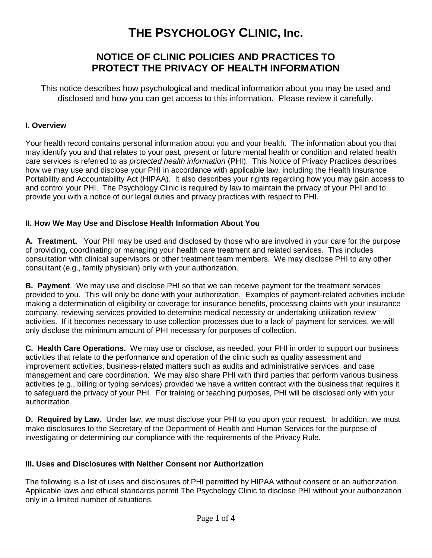# **THE PSYCHOLOGY CLINIC, Inc.**

## **NOTICE OF CLINIC POLICIES AND PRACTICES TO PROTECT THE PRIVACY OF HEALTH INFORMATION**

This notice describes how psychological and medical information about you may be used and disclosed and how you can get access to this information. Please review it carefully.

#### **I. Overview**

Your health record contains personal information about you and your health. The information about you that may identify you and that relates to your past, present or future mental health or condition and related health care services is referred to as *protected health information* (PHI). This Notice of Privacy Practices describes how we may use and disclose your PHI in accordance with applicable law, including the Health Insurance Portability and Accountability Act (HIPAA). It also describes your rights regarding how you may gain access to and control your PHI. The Psychology Clinic is required by law to maintain the privacy of your PHI and to provide you with a notice of our legal duties and privacy practices with respect to PHI.

### **II. How We May Use and Disclose Health Information About You**

**A. Treatment.** Your PHI may be used and disclosed by those who are involved in your care for the purpose of providing, coordinating or managing your health care treatment and related services. This includes consultation with clinical supervisors or other treatment team members. We may disclose PHI to any other consultant (e.g., family physician) only with your authorization.

**B. Payment**. We may use and disclose PHI so that we can receive payment for the treatment services provided to you. This will only be done with your authorization. Examples of payment-related activities include making a determination of eligibility or coverage for insurance benefits, processing claims with your insurance company, reviewing services provided to determine medical necessity or undertaking utilization review activities. If it becomes necessary to use collection processes due to a lack of payment for services, we will only disclose the minimum amount of PHI necessary for purposes of collection.

**C. Health Care Operations.** We may use or disclose, as needed, your PHI in order to support our business activities that relate to the performance and operation of the clinic such as quality assessment and improvement activities, business-related matters such as audits and administrative services, and case management and care coordination. We may also share PHI with third parties that perform various business activities (e.g., billing or typing services) provided we have a written contract with the business that requires it to safeguard the privacy of your PHI. For training or teaching purposes, PHI will be disclosed only with your authorization.

**D. Required by Law.** Under law, we must disclose your PHI to you upon your request. In addition, we must make disclosures to the Secretary of the Department of Health and Human Services for the purpose of investigating or determining our compliance with the requirements of the Privacy Rule.

### **III. Uses and Disclosures with Neither Consent nor Authorization**

The following is a list of uses and disclosures of PHI permitted by HIPAA without consent or an authorization. Applicable laws and ethical standards permit The Psychology Clinic to disclose PHI without your authorization only in a limited number of situations.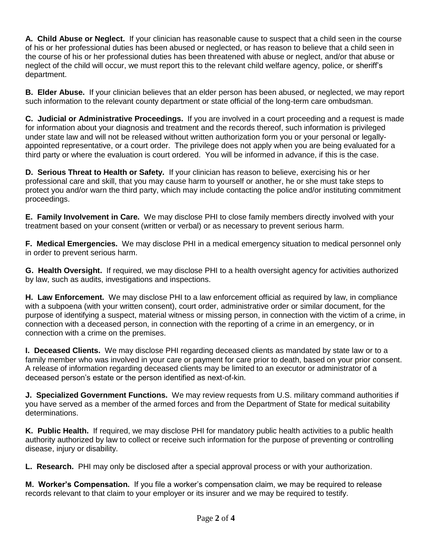**A. Child Abuse or Neglect.** If your clinician has reasonable cause to suspect that a child seen in the course of his or her professional duties has been abused or neglected, or has reason to believe that a child seen in the course of his or her professional duties has been threatened with abuse or neglect, and/or that abuse or neglect of the child will occur, we must report this to the relevant child welfare agency, police, or sheriff's department.

**B. Elder Abuse.** If your clinician believes that an elder person has been abused, or neglected, we may report such information to the relevant county department or state official of the long-term care ombudsman.

**C. Judicial or Administrative Proceedings.** If you are involved in a court proceeding and a request is made for information about your diagnosis and treatment and the records thereof, such information is privileged under state law and will not be released without written authorization form you or your personal or legallyappointed representative, or a court order. The privilege does not apply when you are being evaluated for a third party or where the evaluation is court ordered. You will be informed in advance, if this is the case.

**D. Serious Threat to Health or Safety.** If your clinician has reason to believe, exercising his or her professional care and skill, that you may cause harm to yourself or another, he or she must take steps to protect you and/or warn the third party, which may include contacting the police and/or instituting commitment proceedings.

**E. Family Involvement in Care.** We may disclose PHI to close family members directly involved with your treatment based on your consent (written or verbal) or as necessary to prevent serious harm.

**F. Medical Emergencies.** We may disclose PHI in a medical emergency situation to medical personnel only in order to prevent serious harm.

**G. Health Oversight.** If required, we may disclose PHI to a health oversight agency for activities authorized by law, such as audits, investigations and inspections.

**H. Law Enforcement.** We may disclose PHI to a law enforcement official as required by law, in compliance with a subpoena (with your written consent), court order, administrative order or similar document, for the purpose of identifying a suspect, material witness or missing person, in connection with the victim of a crime, in connection with a deceased person, in connection with the reporting of a crime in an emergency, or in connection with a crime on the premises.

**I. Deceased Clients.** We may disclose PHI regarding deceased clients as mandated by state law or to a family member who was involved in your care or payment for care prior to death, based on your prior consent. A release of information regarding deceased clients may be limited to an executor or administrator of a deceased person's estate or the person identified as next-of-kin.

**J. Specialized Government Functions.** We may review requests from U.S. military command authorities if you have served as a member of the armed forces and from the Department of State for medical suitability determinations.

**K. Public Health.** If required, we may disclose PHI for mandatory public health activities to a public health authority authorized by law to collect or receive such information for the purpose of preventing or controlling disease, injury or disability.

**L. Research.** PHI may only be disclosed after a special approval process or with your authorization.

**M. Worker's Compensation.** If you file a worker's compensation claim, we may be required to release records relevant to that claim to your employer or its insurer and we may be required to testify.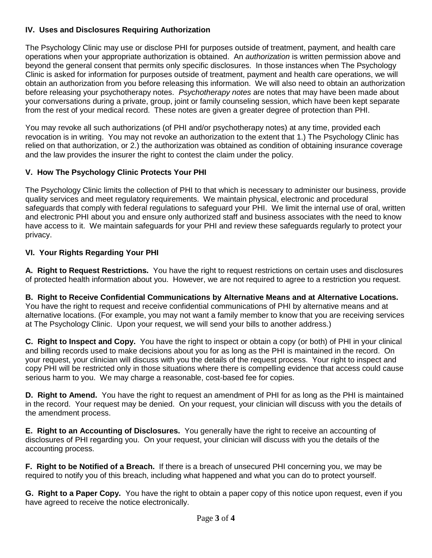## **IV. Uses and Disclosures Requiring Authorization**

The Psychology Clinic may use or disclose PHI for purposes outside of treatment, payment, and health care operations when your appropriate authorization is obtained. An *authorization* is written permission above and beyond the general consent that permits only specific disclosures. In those instances when The Psychology Clinic is asked for information for purposes outside of treatment, payment and health care operations, we will obtain an authorization from you before releasing this information. We will also need to obtain an authorization before releasing your psychotherapy notes. *Psychotherapy notes* are notes that may have been made about your conversations during a private, group, joint or family counseling session, which have been kept separate from the rest of your medical record. These notes are given a greater degree of protection than PHI.

You may revoke all such authorizations (of PHI and/or psychotherapy notes) at any time, provided each revocation is in writing. You may not revoke an authorization to the extent that 1.) The Psychology Clinic has relied on that authorization, or 2.) the authorization was obtained as condition of obtaining insurance coverage and the law provides the insurer the right to contest the claim under the policy.

## **V. How The Psychology Clinic Protects Your PHI**

The Psychology Clinic limits the collection of PHI to that which is necessary to administer our business, provide quality services and meet regulatory requirements. We maintain physical, electronic and procedural safeguards that comply with federal regulations to safeguard your PHI. We limit the internal use of oral, written and electronic PHI about you and ensure only authorized staff and business associates with the need to know have access to it. We maintain safeguards for your PHI and review these safeguards regularly to protect your privacy.

## **VI. Your Rights Regarding Your PHI**

**A. Right to Request Restrictions.** You have the right to request restrictions on certain uses and disclosures of protected health information about you. However, we are not required to agree to a restriction you request.

**B. Right to Receive Confidential Communications by Alternative Means and at Alternative Locations.**  You have the right to request and receive confidential communications of PHI by alternative means and at alternative locations. (For example, you may not want a family member to know that you are receiving services at The Psychology Clinic. Upon your request, we will send your bills to another address.)

**C. Right to Inspect and Copy.** You have the right to inspect or obtain a copy (or both) of PHI in your clinical and billing records used to make decisions about you for as long as the PHI is maintained in the record. On your request, your clinician will discuss with you the details of the request process. Your right to inspect and copy PHI will be restricted only in those situations where there is compelling evidence that access could cause serious harm to you. We may charge a reasonable, cost-based fee for copies.

**D. Right to Amend.** You have the right to request an amendment of PHI for as long as the PHI is maintained in the record. Your request may be denied. On your request, your clinician will discuss with you the details of the amendment process.

**E. Right to an Accounting of Disclosures.** You generally have the right to receive an accounting of disclosures of PHI regarding you. On your request, your clinician will discuss with you the details of the accounting process.

**F. Right to be Notified of a Breach.** If there is a breach of unsecured PHI concerning you, we may be required to notify you of this breach, including what happened and what you can do to protect yourself.

**G. Right to a Paper Copy.** You have the right to obtain a paper copy of this notice upon request, even if you have agreed to receive the notice electronically.